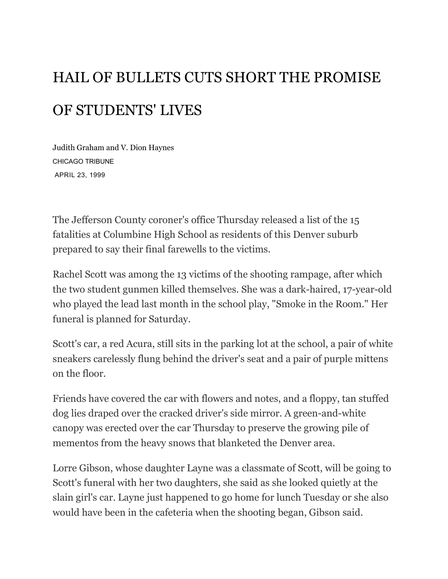## HAIL OF BULLETS CUTS SHORT THE PROMISE OF STUDENTS' LIVES

Judith Graham and V. Dion Haynes CHICAGO TRIBUNE APRIL 23, 1999

The Jefferson County coroner's office Thursday released a list of the 15 fatalities at Columbine High School as residents of this Denver suburb prepared to say their final farewells to the victims.

Rachel Scott was among the 13 victims of the shooting rampage, after which the two student gunmen killed themselves. She was a dark-haired, 17-year-old who played the lead last month in the school play, "Smoke in the Room." Her funeral is planned for Saturday.

Scott's car, a red Acura, still sits in the parking lot at the school, a pair of white sneakers carelessly flung behind the driver's seat and a pair of purple mittens on the floor.

Friends have covered the car with flowers and notes, and a floppy, tan stuffed dog lies draped over the cracked driver's side mirror. A green-and-white canopy was erected over the car Thursday to preserve the growing pile of mementos from the heavy snows that blanketed the Denver area.

Lorre Gibson, whose daughter Layne was a classmate of Scott, will be going to Scott's funeral with her two daughters, she said as she looked quietly at the slain girl's car. Layne just happened to go home for lunch Tuesday or she also would have been in the cafeteria when the shooting began, Gibson said.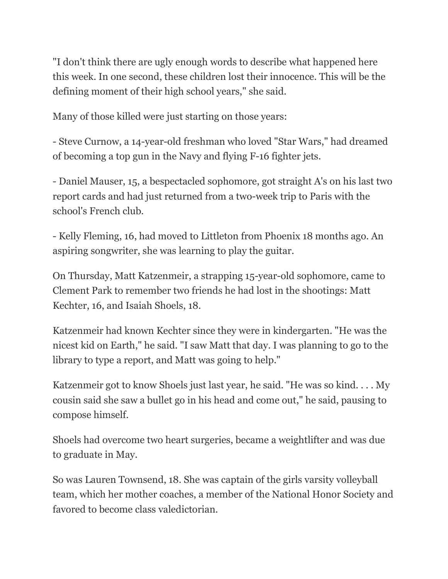"I don't think there are ugly enough words to describe what happened here this week. In one second, these children lost their innocence. This will be the defining moment of their high school years," she said.

Many of those killed were just starting on those years:

- Steve Curnow, a 14-year-old freshman who loved "Star Wars," had dreamed of becoming a top gun in the Navy and flying F-16 fighter jets.

- Daniel Mauser, 15, a bespectacled sophomore, got straight A's on his last two report cards and had just returned from a two-week trip to Paris with the school's French club.

- Kelly Fleming, 16, had moved to Littleton from Phoenix 18 months ago. An aspiring songwriter, she was learning to play the guitar.

On Thursday, Matt Katzenmeir, a strapping 15-year-old sophomore, came to Clement Park to remember two friends he had lost in the shootings: Matt Kechter, 16, and Isaiah Shoels, 18.

Katzenmeir had known Kechter since they were in kindergarten. "He was the nicest kid on Earth," he said. "I saw Matt that day. I was planning to go to the library to type a report, and Matt was going to help."

Katzenmeir got to know Shoels just last year, he said. "He was so kind. . . . My cousin said she saw a bullet go in his head and come out," he said, pausing to compose himself.

Shoels had overcome two heart surgeries, became a weightlifter and was due to graduate in May.

So was Lauren Townsend, 18. She was captain of the girls varsity volleyball team, which her mother coaches, a member of the National Honor Society and favored to become class valedictorian.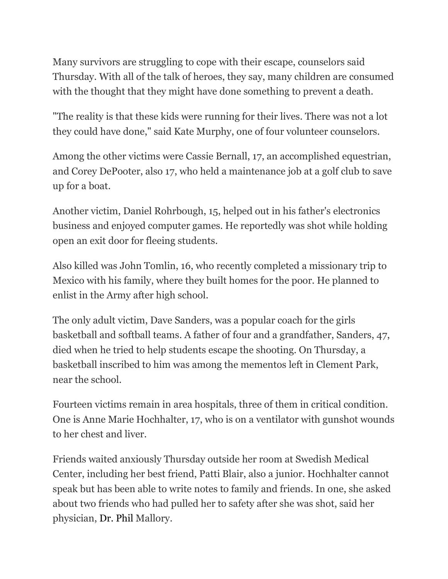Many survivors are struggling to cope with their escape, counselors said Thursday. With all of the talk of heroes, they say, many children are consumed with the thought that they might have done something to prevent a death.

"The reality is that these kids were running for their lives. There was not a lot they could have done," said Kate Murphy, one of four volunteer counselors.

Among the other victims were Cassie Bernall, 17, an accomplished equestrian, and Corey DePooter, also 17, who held a maintenance job at a golf club to save up for a boat.

Another victim, Daniel Rohrbough, 15, helped out in his father's electronics business and enjoyed computer games. He reportedly was shot while holding open an exit door for fleeing students.

Also killed was John Tomlin, 16, who recently completed a missionary trip to Mexico with his family, where they built homes for the poor. He planned to enlist in the Army after high school.

The only adult victim, Dave Sanders, was a popular coach for the girls basketball and softball teams. A father of four and a grandfather, Sanders, 47, died when he tried to help students escape the shooting. On Thursday, a basketball inscribed to him was among the mementos left in Clement Park, near the school.

Fourteen victims remain in area hospitals, three of them in critical condition. One is Anne Marie Hochhalter, 17, who is on a ventilator with gunshot wounds to her chest and liver.

Friends waited anxiously Thursday outside her room at Swedish Medical Center, including her best friend, Patti Blair, also a junior. Hochhalter cannot speak but has been able to write notes to family and friends. In one, she asked about two friends who had pulled her to safety after she was shot, said her physician, [Dr. Phil](https://www.chicagotribune.com/topic/entertainment/television/phil-mcgraw-PECLB002772-topic.html) Mallory.